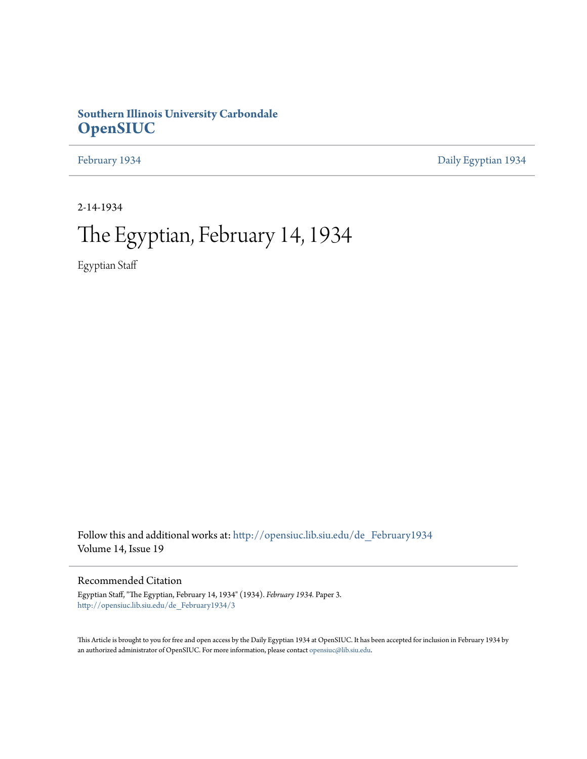## **Southern Illinois University Carbondale [OpenSIUC](http://opensiuc.lib.siu.edu?utm_source=opensiuc.lib.siu.edu%2Fde_February1934%2F3&utm_medium=PDF&utm_campaign=PDFCoverPages)**

[February 1934](http://opensiuc.lib.siu.edu/de_February1934?utm_source=opensiuc.lib.siu.edu%2Fde_February1934%2F3&utm_medium=PDF&utm_campaign=PDFCoverPages) [Daily Egyptian 1934](http://opensiuc.lib.siu.edu/de_1934?utm_source=opensiuc.lib.siu.edu%2Fde_February1934%2F3&utm_medium=PDF&utm_campaign=PDFCoverPages)

2-14-1934

## The Egyptian, February 14, 1934

Egyptian Staff

Follow this and additional works at: [http://opensiuc.lib.siu.edu/de\\_February1934](http://opensiuc.lib.siu.edu/de_February1934?utm_source=opensiuc.lib.siu.edu%2Fde_February1934%2F3&utm_medium=PDF&utm_campaign=PDFCoverPages) Volume 14, Issue 19

#### Recommended Citation

Egyptian Staff, "The Egyptian, February 14, 1934" (1934). *February 1934.* Paper 3. [http://opensiuc.lib.siu.edu/de\\_February1934/3](http://opensiuc.lib.siu.edu/de_February1934/3?utm_source=opensiuc.lib.siu.edu%2Fde_February1934%2F3&utm_medium=PDF&utm_campaign=PDFCoverPages)

This Article is brought to you for free and open access by the Daily Egyptian 1934 at OpenSIUC. It has been accepted for inclusion in February 1934 by an authorized administrator of OpenSIUC. For more information, please contact [opensiuc@lib.siu.edu.](mailto:opensiuc@lib.siu.edu)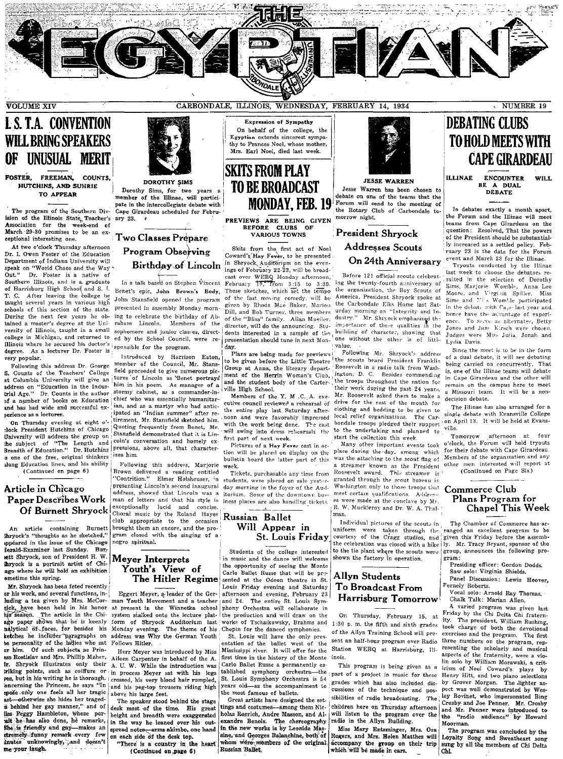

## **I. S. T.A. CONVENTION WILL BRING SPEAKERS** OF UNUSUAL MERIT

FOSTER, FREEMAN, COUNTS, HUTCHINS, AND SUHRIE TO APPEAR

The program of the Southern Division of the Illinois State, Teacher's ary 23.<br>Association for the week-end of March 29-30 promises to be an exceptional interesting one.

At two o'clock Thursday afternoon Dr. I. Owen Foster of the Education Department of Indiana University will speak on "World Chaos and the Way Dr. Foster is a native of  $Qnt$ " Southern Illinois, and is a graduate of Harrisburg High School and S. I. After leaving the college he T. C. taught several years in various high schools of this section of the state. During the next few years he obtained a master's degree at the University of Illinois, taught in a small college in Michigan, and returned to ed by the School Council, were re-Illinois where he secured his doctor's degree. As a lecturer Dr. Foster is very popular.

Following this address Dr. George S. Counts of the Teachers' College at Columbia University will give an address on "Education in the Indus-<br>trial Age." Dr. Counts is the author of a number of books on Education and has had wide and successful experience as a lecturer.

On Thursday evening at eight o'clock President Hutchins of Chicago University will address the group on the subject of "The Length and Breadth of Education." Dr. Hutchins is one of the free, original thinkers along Education lines, and his ability

(Continued on page 6)

#### Article in Chicago Paper Describes Work Of Burnett Shryock

An article containing Burnett Shryock's "thoughts as he sketched," sppeared in the issue of the Chicago Jerald-Examiner last Sunday. Burrett Shryock, son of President H. W. thryock is a portrait artist of Chiago where he will hold an exhibition ametime this suring.

Mr. Shrvock has been feted recently or his work, and several functions, inluding a tea given by Mrs. McCorhave been held in his honor nick, have been held in his honor<br>his season. The article in the Chiago paper shows that he is keenly nalytical of faces, for besides his ketches he includes paragraphs on<br>he personality of the ladies who sat or him. Of such subjects as Priness Rostislav and Mrs. Phillip Maher, Shryock illustrates only their Ir. triking points, such as coiffure or yes, but in his writing he is thorough. oncerning the Princess, he says "In spoše only one feels all her tragic ast-otherwise she hides her tragedis behind her gay manner," and of liss Peggy Hambleton, whose porait he has also done, he remarks, She is friendly and gay-makes an stremely funny remark every few inutes unknowingly, and doesn't me your laugh.



**DOROTHY SIMS** Dorothy Sims, for two years a member of the Illinae, will partici pate in the intercollegiate debate with Cape Girardeau scheduled for Febru-

#### Two Classes Prepare

**Program Observing Birthday of Lincoln** 

In a talk based on Stephen Vincent John Stansfield onened the program presented in assembly Monday morning to celebrate the birthday of Abraham Lincoln. Members of the sophomore and junior classes, directsponsible for the program.

Introduced by Harrison Eaton, member of the Council, Mr. Stansfield proceeded to give numerous pictures of Lincoln as Benet portrays him in his poem. As manager of a stormy cabinet, as a commander-inchief who was essentially humanitarian, and as a martyr who had anticipated an "Indian summer" after retirement, Mr. Stansfield sketched him. Quoting frequently from Benet, Mr. Stansfield demonstrated that it is Lincoln's conversation and homely expressions, above all, that characterizes him.

Following this address, Marjorie Brown delivered a reading entitled "Contrition." Elmer Holshouser, in presenting Lincoln's second inaugural address, showed that Lincoln was a man of letters and that his style is exceptionally lucid and concise.<br>Choral music by the Roland Hayes club appropriate to the occasion brought them an encore, and the program closed with the singing of a negro spiritual.

#### Meyer Interprets Youth's View of The Hitler Regime

Eggert Meyer, a leader of the German Youth Movement and a teacher system stalked onto the lecture platform of Shryock Auditorium last Monday evening. The theme of his address was Why the German Youth Follows Hitler.

Herr Meyer was introduced by Miss Aileen Carnenter in behalf of the A. A. U. W. While the introduction was in process Meyer sat with his legs crossed, his very blond hair rumpled, and his peg-top trousers riding high above his large feet.

The speaker stood behind the stage desk most of the time. His great height and breadth were exaggerated in the way he leaned over his outspread notes-arms akimbo, one hand on each side of the desk top.

"There' is a country in the heart (Continued on page 6)

Expression of Sympathy On behalf of the college, the Egyptian extends sincerest sympathy to Frances Noel, whose mother, Mrs. Earl Noel, died last week.

### **SKITS FROM PLAY TO BE BROADCAST MONDAY, FEB. 19**

PREVIEWS ARE BEING GIVEN BEFORE CLUBS OF VARIOUS TOWNS

Skits from the first act of Noel<br>Coward's Hay Fever, to be presented in Shryock Auditorium on the even-<br>ings of February 22-23, will be broadcast over WEBO Monday afternoon. February 19, from 3:15 to 3:30. Benet's epic, John Brown's Body, These sketches, which set the tempo of the fast moving comedy, will be given by Rhoda Mae Baker, Marion Dill, and Bob Turner, three members of the "Bliss" family. Allan Mueller, director, will do the announcing. Students interested in a sample of the

> day. Plans are being made for previews to be given before the Little Theatre Group at Anna, the literary depart. ment of the Herrin Woman's Club. and the student body of the Carterville High School.

> presentation should tune in next Mon-

Members of the Y. M .C. A. executive council reviewed a rehearsal of the entire play last Saturday afternoon and were favorably impressed with the work being done. The cast will swing into dress rehearsals the first part of next week.

Pictures of a Hay Fever cast in action will be placed on display on the bulletin board the latter part of this week.

Tickets, purchasable any time from students, were placed on sale yesterday morning in the foyer of the Auditarium. Some of the downtown business places are also handling tickets.

#### Russian Ballet Will Appear in **St. Louis Friday**

Students of the college interested in music and the dance will welcome the opportunity of seeing the Monte Carlo Ballet Russe that will be presented at the Odeon theatre in St. Louis Friday evening and Saturday afternoon and evening, February 23 and 24. The entire St. Louis Symat present in the Winnetka school phony Orchestra will collaborate in the production and will draw on the works of Tschaikowsky, Brahms and Chopin for the danced symphonies.

St. Louis will have the only presentation of the ballet west of the Mississippi river. It will offer for the first time in the history of the Monte Carlo Ballet Russe a permanently established symphony orchestra-the<br>St. Louis Symphony Orchestra is 54 years old-as the accompaniment to the most famous of ballets.

Great artists have designed the settings and costumes-among them Nicholas Roerich, Andre Masson, and Alexandre Benois. The chereography in the new works is by Leonide Massine, and Georges Balanchine, both of whom were members of the original. Russian Ballet.



**JESSE WARREN** Jesse Warren has been chosen to debate on one of the teams that the Forum will send to the meeting of the Rotary Club of Carbondale tomorrow night.

President Shryock **Addresses Scouts** On 24th Anniversary

Before 121 official scouts celebrating the twenty-fourth anniversary of the organization, the Boy Scouts of America, President Shryock spoke at the Carbondale Elks Home last Satand writing on "Integrity and In-<br>dustry." Mr. Shryock emphasized the<br>importance of these qualities in the building of character, showing that one without the other is of little value

Following Mr. Shryock's address the scouts heard President Franklin Roosevelt in a radio talk from Washington, D. C. Besides commending the troops throughout the nation for their work during the past 24 years, Mr. Roosevelt asked them to make a drive for the rest of the month for clothing and bedding to be given to local relief organizations. The Carbondale troops pledged their support to the undertaking and planned to start the collection this week.

Many other important events took place during the day, among which<br>was the attaching to the scout flag of a streamer known as the President Roosevelt award. This streamer is granted through the scout bureau in Washington only to those troops that meet certain qualifications. Address es were made at the conclave by Mr. R. W. Muckleroy and Dr. W. A. Thalman.

Individual pictures of the scouts in uniform were taken through the ranged an excellent program to be courtesy of the Cragg studios, and given this Friday before the assembthe celebration was closed with a hike ly. Mr. Tracy Bryant, sponsor of the to the tie plant where the scouts were shown the factory in operation.

#### Allyn Students To Broadcast From Harrisburg Tomorrow

On Thursday, February 15, at of the Allyn Training School will present an half-hour program over Radio three numbers on the program, rep-Station WEBQ at Harrisburg, Illinois

This program is being given as a part of a project in music for these grades which has also included discussions of the technique and possibilities of radio broadcasting. The children here on Thursday afternoon will listen to the program over the radio in the Allyn Building.

Miss Mary Entsminger, Mrs. Ora Rogers, and Mrs. Helen Matthes will accompany the group on their trip which will be made in cars.

## **DEBATING CLUBS** TO HOLD MEETS WITH **CAPE GIRARDEAU**

**ILLINAE ENCOUNTER** WH<sub>L</sub> BE A DUAL **DEBATE** 

In debates exactly a month apart, the Forum and the Illinae will meet teams from Cape Girardeau on the question: Resolved, That the powers of the President should be substantially increased as a settled policy. February 23 is the date for the Forum event and March 23 for the Illinae.

Tryouts conducted by the Illinae last week to choose the debators resulted in the selection of Dorothy<br>Sims, Marjorie Womble, Anna Lee Moore, and Virginia Spiller. Miss Sims and Miss Womble participated in the debate with Caue last year and hence have the advantage of experience. To serve as alternates, Betty Jones and Jane Kirsch were chosen Judges were Miss Julia Jonah and Lydia Davis.

Since the meet is to be in the form of a dual debate, it will see debating being carried on concurrently. That is, one of the Illinae teams will debate in Cape Girardeau and the other will remain on the campus here to meet a Missouri team. It will be a nondecision debate.

The Illinae has also arranged for a single debate with Evansville College on April 13. It will be held at Evansville.

afternoon at four Tomorrow o'clock, the Forum will hold tryouts for their debate with Cape Girardeau. Members of the organization and any other men interested will report at

(Continued on Page Six)

#### Commerce Club Plans Program for **Chapel This Week**

The Chamber of Commerce has ar group, announces the following program:

Presiding officer: Gordon Dodds.

Saw solo: Virginia Shields.

Panel Discussion: Lewis Hoover, Fernely Roberts.

Vocal solo: Arnold Ray Thomas. Chalk Talk: Marian Allen.

A varied program was given last Friday by the Chi Delta Chi fratern-The president, William Rushing, ity. 1:30 p. m. the fifth and sixth grades took charge of both the devotional exercises and the program. The first resenting the scholarly and musical aspects of the fraternity, were a violin solo by William Morawski, a crit-Henry Hitt, and two piano selections<br>by Grover Morgan. The lighter aspect was well demonstrated by Wes-<br>ley Bovinet, who impersonated Bing Crosby and Joe Penner. Mr. Crosby and Mr. Penner were introduced to<br>the "radio audience" by Howard Moorman.

The program was concluded by the Loyalty Song and Sweatheart song sung by all the members of Chi Delta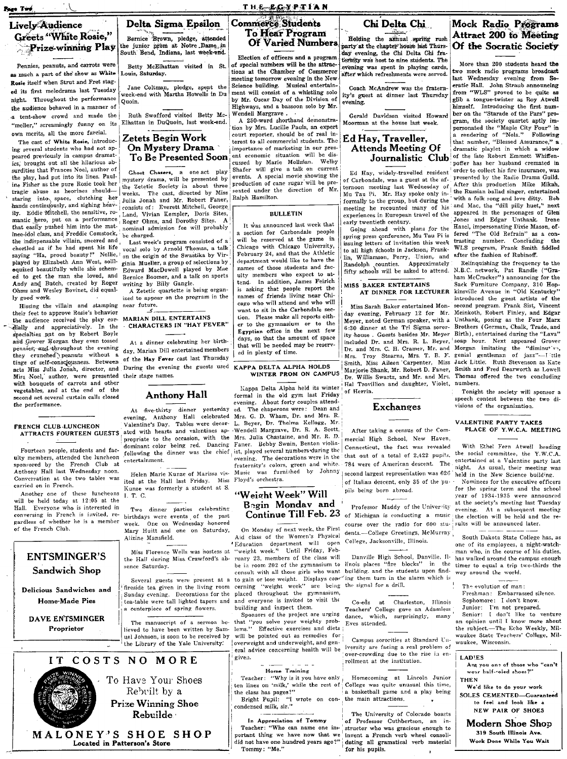.<br>Pago Twó

#### **THE RGYPTIAN**

#### Lively Audience **Greets "White Rosie,"** Prize-winning Play

Pennies, peanuts, and carrots were as much a part of the show as White Rosie itself when Strut and Fret staged its first melodrama last Tuesdav night. Throughout the performance the audience behaved in a manner of a tent-show crowd and made the "meller." screamingly funny on its own merits, all the more farcial.

The cast of White Rosie, introducing several students who had not appeared previously in campus dramatics. brought out all the hilarious absurdities that Frances Noel, author of the play, had put into its lines. Pauline Fisher as the pure Rosie took her tragic abuse as heorines shouldstaring into space, clutching her hands continuously, and sighing heavily. Eddie Mitchell, the sensitive, romantic hero, put on a performance that easily pushed him into the matince-idol class, and Freddie Comstock, the indispensable villain, sneered and chortled as if he had spent his life saying "Ha, proud beauty!" Nellie, played by Elizabeth Ann West, soliloquized beautifully while she schemed to get the man she loved, and Andy and Butch, created by Roger Ohms and Wesley Bovinet, did equally good work.

Hissing the villain and stamping near future. their feet to approve Rosie's behavior the audience received the play corspecialties put on by Robert Boyle and Grover Norgan they even tossed pennies, and throughout the evening they crunched peanuts without a tinge of self-consciousness. Between acts Miss Julia Jonah, director, and During the evening the guests used KAPPA DELTA ALPHA HOLDS Miss Noel, author, were presented their stage names.<br>with bouquets of carrots and other vegetables, and at the end of the second act several curtain calls closed the performance.

#### FRENCH CLUB-LUNCHEON **ATTRACTS FOURTEEN GUESTS**

Fourteen people, students and faculty members, attended the luncheon sponsored by the French Club at Anthony Hall last Wednesday noon. Conversation at the two tables was carried on in French.

Another one of these luncheons will be held today at 12:05 at the Hall. Everyone who is interested in conversing in French is invited, regardless of whether he is a member of the French Club.

#### **ENTSMINGER'S** Sandwich Shop

Delicious Sandwiches and Home-Made Pies

> **DAVE ENTSMINGER** Proprietor



Betty McElhattan visited in St. ouis. Saturday.

Jane Coltman, pledge, spent the<br>week-end with Martha Howells in Du Opoin

Ruth Swofford visited Betty Mc-Elhattan in DuQuoin, last week-end.

#### Zetets Begin Work On Mystery Drama To Be Presented Soon

Chost Chasers, a one act play<br>mystery drama, will be presented by<br>the Zetetic Society in about three The cast, directed by Miss weeks. Julia Jonah and Mr. Robert Faner, consists of: Everett Mitchell, George Land, Vivian Kempler, Doris Sites, Roger Ohms, and Dorothy Sites. nominal admission fee will probably be charged.

Last week's program consisted of a vocal solo by Arnold Thomas, a talk on the origin of the Swastika by Virginia Mueller, a group of selections by Edward MacDowell played by Mae Bernice Boomer, and a talk on sports writing by Billy Gangle.

A Zetetic quartette is being organized to appear on the program in the 7

MARIAN DILL ENTERTAINS **CHARACTERS IN "HAY FEVER"** 

At a dinner celebrating her birthday, Marian Dill entertained members of the Hay Fever cast last Thursday

#### **Anthony Hall**

At five-thirty dinner yesterday evening, Anthony Hall celebrated<br>Valentine's Day Tables were decorated with hearts and valentines appropriate to the occasion, with the dominant color being red. Dancing entertainment.

Helen Marie Kunze of Marissa visited at the Hall last Friday. Miss Kunze was formerly a student at S. I. T. C.

Two dinner parties celebrating birthdays were events of the past One on Wednesday honored week. Mary Huitt and one on Saturday, Alizine Mansfield.

the Hall during Miss Crawford's absence Saturday.

Several guests were present at a fireside tea given in the living room Sunday evening. Decorations for the ten-table were tall lighted tapers and a centerniece of spring flowers.

The manuscript of a sermon believed to have been written by Samuel Johnson, is soon to be received by the Library of the Yale University.

To Have Your Shoes

Rebuilt by a

**Prize Winning Shoe** 

Rebuilde

IT COSTS NO MORE

MALONEY'S SHOE SHOP

Located in Patterson's Store

#### **Commerce Students To Hear Program** Of Varied Numbers

Election of officers and a program of special numbers will be the attractions at the Chamber of Commerce meeting tomorrow evening in the New Science building. Musical entertainment will consist of a whistling solo by Mr. Oscar Day of the Division of Highways, and a bassoon solo by Mr. Wendell Margrave . .<br>A 250-word shorthand demonstra-

tion by Mrs. Lucille Pauls, an expert court reporter, should be of real interest to all commercial students. The importance of marketing in our present economic situation will be discussed by Marie Mollman. Welby Shafer will give a talk on current events. A special movie showing the production of cane sugar will be presented under the direction of Mr. Ralph Hamilton.

#### **BULLETIN**

It was announced last week that section for Carbondale people will be reserved at the game in Chicago with Chicago University, February 24, and that the Athletic department would like to have the names of those students and faculty members who expect to at-In addition, James Feirich tend. is asking that people report the names of friends living near Chicago who will attend and who will want to sit in the Carbondale section. Please make all reports either to the gymnasium or to the Egyptian office in the next few days, so that the amount of space that will be needed may be reserved in plenty of time.

#### WINTER PROM ON CAMPUS

Kappa Delta Alpha held its winter formal in the old gym last Friday evening. About forty couples attended. The chaperons were: Dean and Mrs. G. D. Wham, Dr. and Mrs. R. L. Beyer, Dr. Thelma Kellogg, Mr. Wendell Margrave, Dr. R. A. Scott, Mrs. Julia Chastaine, and Mr. R. D. Faner. Bobby Swain, Benton violinfollowing the dinner was the chief ist, played several numbers during the evening. The decorations were in the fraternity's colors, green and white. Music was furnished by Johnny Floyd's orchestra.

## "Weight Week" Will

On Monday of next week, the First Aid class of the Women's Physical Figures of the contract will open<br>Miss Florence Wells was hostess at "weight week." Until Friday, February 23, members of the class will be in room 202 of the gymnasium to consult with all those girls who want to gain or lose weight. Displays con-<br>ting them turn in the cerning "weight week" are being the signal for a drill. placed throughout the gymnasium, and everyone is invited to visit the building and inspect them.

Sponsors of the project are urging that "you solve your weighty prob-<br>lems." Effective exercises and diets Effective exercises and diets will be pointed out as remedies for overweight and underweight, and general advice concerning health will be

Home Training

given.

Teacher: "Why is it you have only

condensed milk, sir."

#### In Appreciation of Tommy

Teacher: "Who can name one important thing we have now that we did not have one hundred years ago?" Tommy: "Me."

#### Chi Delta Chi

Holding the annual spring rush party at the chapter house last Thursday evening, the Chi Delta Chi fratermity was host to nine students. The evening was spent in playing cards. after which refreshments were served.

Coach McAndrew was the fraternity's guest at dinner last Thursday evening.

Gerald Davidson visited Howard Moorman at the house last week.

#### Ed Hay, Traveller, Attends Meeting Of Journalistic Club

Ed Hay, widely-travelled resident of Carbondale, was a guest at the afternoon meeting last Wednesday of Mn Tau Pi. Mr. Hav spoke only informally to the group, but during the meeting he recounted many of his experiences in European travel of the early twentieth century.

Going ahead with plans for the spring press conference, Mu Tau Pi is issuing letters of invitation this week to all high schools in Jackson, Franklin, Williamson, Perry, Union, and Randolph counties. Approximately<br>fifty schools will be asked to attend.

#### MICC DAVED ENTERTAINS AT DINNER FOR LECTURER

Miss Sarah Baker entertained Monday evening, February 12 for Mr. Meyer, noted German speaker, with a 6:30 dinner at the Tri Sigma sorority house. Guests besides Mr. Meyer included Dr. and Mrs. R. L. Beyer, Dr. and Mrs. C. H. Cramer, Mr. and<br>Mrs. Troy Stearns, Mrs. T. B. F.<br>Smith, Miss Aileen Carpenter, Miss Marjorie Shank, Mr. Robert D. Faner, Dr. Willis Swartz, and Mr. and Mrs. Hel Trovillion and daughter. Violet, of Herrin.

#### **Exchanges**

After taking a census of the Commercial High School, New Haven, Connecticut, the fact was revealed that out of a total of 2,422 pupils. 784 were of American descent. The 784 were of American descent. The night, As usual, their meeting was<br>second largest representation was  $626$  held in the New Science building. of Italian descent, only 35 of the pupils being born abroad.

course over the radio for 600 stu- sults will be announced later. dents.--College Greetings, McMurray College, Jacksonville, Illinois.

Danville High School, Danville, Illinois places "fire blocks" in the<br>building, and the students upon finding them turn in the alarm which is

Co-eds at Charleston, Illinois<br>Teachers' College gave an Adamless dance, which, surprisingly, many Eves attended.

Campus sororities at Standard University are facing a real problem of over-crowding due to the rise in enrollment at the institution.

Homecoming at Lincoln Junior reaction. The lines on 'milk,' while the rest of College was quite unusual this time,<br>the class has pages?" a basketball game and a play being<br>the class has pages?" a basketball game and a play being<br>Bright Pupil: "I wrote

> The University of Colorado boasts of Professor Cuthbertson, an instructor who was gracious enough to invent a French verb wheel consolidating all gramatical verb material for his pupils.

#### Mock Radio Programs Attract 200 to Meeting Of the Socratic Society

More than 200 students heard the two mock radio programs broadcast last Wednesday evening from Soeratic Hall. John Straub announcing from "WLS" proved to be quite as<br>glib a tongue-twister as Roy Atwell himself. Introducing the first number on the "Starade of the Pars" program, the society quartet aptly impersonated the "Maple City Four" in a rendering of "Nola." Following that number, "Blessed Assurance," a dramatic playlet in which a widow<br>of the late Robert Emmett Whiffennoffer has her hushand cremated in order to collect his fire insurance, was presented by the Radio Drama Guild. After this production Mike Mikah, the Russian ballad singer, entertained with a folk song and love ditty. Bob<br>and Mac, the "dill pilly huet," next appeared in the personages of Glen Jones and Edgar Unthank. Irene Hazel, impersonating Dixie Mason, offered "The Old Refrain" as a contrasting number. Concluding the WLS program, Frank Smith fiddled after the fashion of Rubinoff.

Relinquishing the frequency to the N.B.C. network, Pat Randle ("Gra-<br>ham McCracker") announcing for the Sack Furniture Company, 310 Hopkinsville Avenue in "Old Kentucky" introduced the guest artists of the second program. Frank Sist, Vincent Meinkoth, Robert Finley, and Edgar Unthank, posing as the Four Marx Brothers (German, Chalk, Trade, and Birth), entertained during the "Lava" soap hour. Next appeared Grover<br>Morgan imitating the "diminutive, genial gentleman of jazz"-I ttle Jack Little. Ruth Stevenson as Kate Smith and Fred Dearworth as Lowell Thomas offered the two concluding numbers.

Tonight the society will sponsor a speech contest between the two divisions of the organization.

#### VALENTINE PARTY TAKES PLACE OF Y.W.C.A. MEETING

With Ethel Fern Atwell heading the social committee, the Y.W.C.A. entertained at a Valentine party last

Nominees for the executive officers for the spring term and the school year of 1934-1935 were announced Begin Monday and Professor Maddy of the University at the society's meeting last Tuesday<br>Continue Till Feb. 23 of Michigan is conducting a music the election will be held and the re-

> South Dakota State College has, as one of its employees, a night-watchman who, in the course of his duties. has walked around the campus enough times to equal a trip two-thirds the way around the world.

> The evolution of man: Sophomore: I don't know. Junior: I'm not prepared. Senior: I don't like to venture an opinion until I know more about the subject.-The Echo Weekly, Milwaukee State Teachers' College, Milwaukee, Wisconsin.

#### **LADIES**

Are you one of those who "can't wear half-roled shoes? **THEN** We'd like to do your work

**SOLES CEMENTED-Guaranteed** to feel and look like a **NEW PAIR OF SHOES** 

Modern Shoe Shop 319 South Illinois Ave. Work Done While You Wait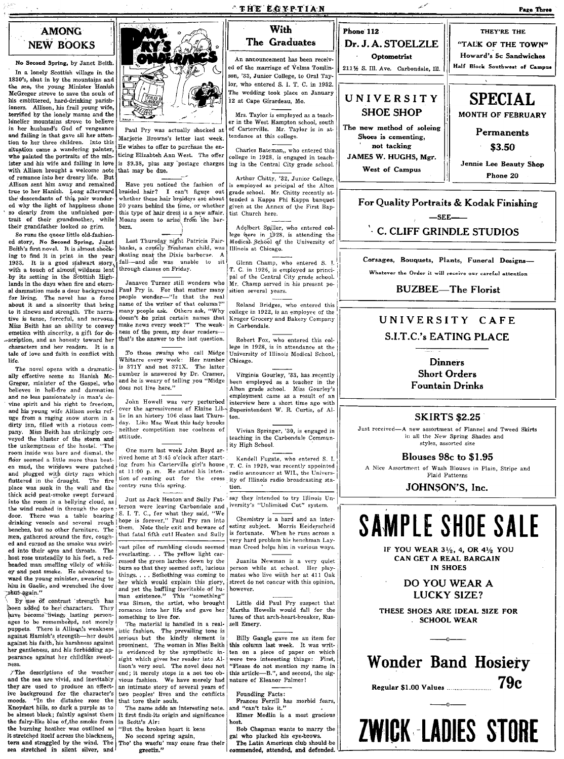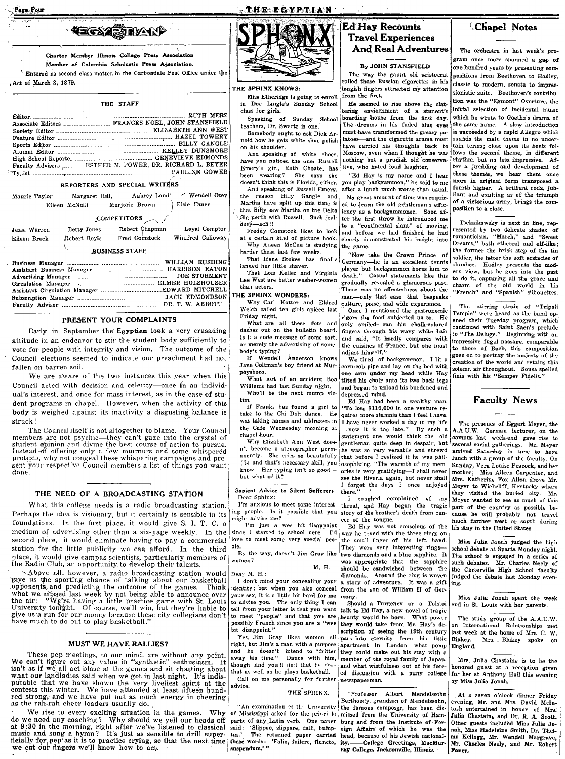Page Four



Charter Member Illinois College Press Association

Member of Columbia Scholastic Press Agsociation.

 $\hat{ }$  Entered as second class matter in the Carbondale Post Office under the Act of March 3, 1879.

THE STAFF

| Faculty Advisers  ESTHER M. POWER, DR. RICHARD L. BEYER                                |
|----------------------------------------------------------------------------------------|
| $r_{y, \text{ist}}$ measurement in the set of $r_{y, \text{ist}}$ ratio $r_{\text{c}}$ |

#### REPORTERS AND SPECIAL WRITERS

| Maurie Taylor | Margaret Hill, |                | Aubrey Land | - Wendell Otey |  |
|---------------|----------------|----------------|-------------|----------------|--|
|               | Eileen McNeill | Marjorie Brown |             | Elsie Faner    |  |

#### COMPETITORS

| Jesse Warren          | Betty Jones  | Robert Chapman | Loyal Compton     |  |  |
|-----------------------|--------------|----------------|-------------------|--|--|
| Eileen Brock          | Robert Boyle | Fred Comstock  | Winifred Calloway |  |  |
| <b>BUSINESS STAFF</b> |              |                |                   |  |  |

#### PRESENT YOUR COMPLAINTS

Early in September the Egyptian took a very crusading attitude in an endeavor to stir the student body sufficiently to vote for people with integrity and vision. The outcome of the Council elections seemed to indicate our preachment had not fallen on barren soil.

We are aware of the two instances this year when this Council acted with decision and celerity-once in an individual's interest, and once for mass interest, as in the case of student programs in chapel. However, when the activity of this body is weighed against its inactivity a disgusting balance is struck!

The Council itself is not altogether to blame. Your Council members are not psychic—they can't gaze into the crystal of student opinion and divine the best course of action to pursue. Instead of offering only a few murmurs and some whispered<br>protests, why not congeal these whispering campaigns and present your respective Council members a list of things you want done.

#### THE NEED OF A BROADCASTING STATION

What this college needs is a radio broadcasting station. Perhaps the idea is visionary, but it certainly is sensible in its foundations. In the first place, it would give S. I. T. C. a medium of advertising other than a six-page weekly. In the second place, it would eliminate having to pay a commercial station for the little publicity we can afford. In the third place, it would give campus scientists, particularly members of the Radio Club, an opportunity to develop their talents.

Above all, however, a radio broadcasting station would Since all, however, a radio broadcasting station would<br>give us the sporting chance of talking about our basketball<br>opponents, and predicting the outcome of the games. Think<br>what we missed last week by not being able to an

#### MUST WE HAVE RALLIES?

These pep metals and are without any point.<br>We can't figure out any value in "synthetic" enthusiasm. It isn't as if we all act blase at the games and sit chatting about what our landladies said when we got in last night. I as the rah-rah cheer leaders usually do.

We rise to every exciting situation in the games. Why  $\left|\right|$  "An examination of the University (the famous composer, has been dis-<br>do we need any coaching? Why should we yell our heads off parts of ay Latin verb. One pap



**THE EGYPTIAN** 

#### THE SPHINX KNOWS:

Miss Etheridge is going to enroll in Doc Lingle's Sunday School class for girls.

Speaking of Sunday School teachers, Dr. Swartz is one

Somebody ought to ask Dick Arnold how he gets white shoe polish on his shoulder.

And speaking of white shoes have you noticed the ones Russell Emery's girl, Ruth Choate, has been wearing? She says she doesn't think this is Florida, either. And speaking of Russell Emery, the reason Billy Gangle and Martha have split up this time is that Billy saw Martha on the Delta Sig porch with Russell. Such jeal- $\overline{\text{and}}$  ach!!

Freddy Comstock likes to look at a certain kind of picture book. Why Aileen McCue is studying harder these last few weeks.

That Irene Stokes has finally landed her little shaver.

That Lois Keller and Virginia Lee West are better washer-women than actors.

#### THE SPHINX WONDERS:

Why Carl Kotter and Eldred Welch called ten girls apiece last Friday night.

What are all these dots and dashes out on the bulletin board Is it a code message of some sort. or merely the advertising of somebody's typing?<br>
If Wendell Anderson knows

Jane Coltman's boy friend at Murphysboro.

What sort of an accident Bob Williams had last Sunday night. Who'll be the next mump vic-

tim. If Franks has found a girl to

take to the Chi Delt dance. He chapel hour.

Why Elizabeth Ann West door n't become a stenographer permanently. She cries so beautifully (?) and that's necessary skill, you know. Her typing isn't so good but what of it?

#### Sapient Advice to Silent Sufferers Dear Sphinx:

I'm anxious to meet some interestmight advise me?

I'm just a wee bit disappoint since I started to school here. love to meet some very special people

By the way, doesn't Jim Gray like women?

M. H.

Dear M. H.:

I don't mind your concealing your your sex, it is a little bit hard for me to advise you. The only thing I can tell from your letter is that you want possibly French since you are a "wee bit disappoint."

Yes, Jim Gray likes women all right, but Jim's a man with a purpose apartment in London—what pomp and he doesn't intend to "fritter they could make out his stay with a away his time." Dance with him, member of the royal family of Japan, though ,and you'll find that he doe. that as well as he plays basketball.

Call on me personally for further advice.

THE SPHINX.

An examination of the University

#### **Ed Hay Recounts Travel Experiences And Real Adventures**

#### **By JOHN STANSFIELD**

The way the gaunt old aristocrat rolled those Russian cigarettes in his longish fingers attracted my attention from the first.

He seemed to rise above the clattering enviornment of a student's boarding house from the first day. The dreams in his faded blue eyes must have transformed the greasy potatoes-and the cigarette aroma must have carried his thoughts back to Moscow, even when I thought he was nothing but a prudish old conservative, who hated loud laughter.

"Ed Hay is my name and I hear you play backgammon," he said to me after a lunch much worse than usual. No great amount of time was required to learn the old gentleman's efficiency as a backgammoner. Soon af-

ter the first throw he introduced me to a "continental slant" of moving, and before we had finished he had clearly demonstrated his insight into the game.

"Now take the Crown Prince of Germany—he is an excellent tennis player but backgammon bores him to death." Casual statements like this gradually revealed a glamorous past. There was no affectedness about the man-only that ease that bespeaks culture, poise, and wide experience.

Once I mentioned the gastronomic rigors the food subjected us to. He only smiled-ran his chalk-colored fingers through his wavy white hair and said, "It hardly compares with the cuisines of France, but one must adjust himself."

We tired of backgammon. I lit a corn-cob pipe and lay on the bed with one arm under my head while Hay tilted his chair onto its two back legs and began to unload his burdened and depressed mind.

Ed Hay had been a wealthy man. "To lose \$110,000 in one venture re-

quires more stamnia than I feel I have. was taking names and addresses in  $\left[$  have never worked a day in my life<br>the Cafe Wednesday morning at  $\left[-$ now it is too late." By such a statement one would think the old gentleman quite deep in despair, but he was so very versatile and shrewd that before I realized it he was philosophizing, "The warmth of my memories is very gratifying-I shall never see the Riveria again, but never shall I forget the days I once enjoyed there.'

 $\mathbf{L}$ coughed-complained of my throat, and Hay began the tragic ing people. Is it possible that you story of his brother's death from cancer of the tongue.

Ed Hay was not conscious of the I'd way he toved with the three rings on the small finger of his left hand. They were very interesting ringstwo diamonds and a blue sapphire. It was appropriate that the sapphire should be sandwiched between the<br>diamonds. Around the ring is woven<br>a story of adventure. It was a gift identity; but when you also conceal from the son of William II of Germany.

Should a Turgenev or a Tolstoi talk to Ed Hay, a new novel of tragic eauty would be born. What power they would take from Mr. Hay's description of seeing the 19th century pass into eternity from his little apartment in London-what pomp and what wistfulness out of his foreed discussion with a puny college newspaperman.

"Professor Albert Mendelssohn Berthoedy, grandson of Mendelssohn, the famous composer, has been

#### Chapel Notes

The orchestra in last week's program once more spanned a gap of one hundred years by presenting compositions from Beethoven to Hadley, classic to modern, sonata to impressionistic suite. Beethoven's contribution was the "Egmont" Overture, the initial selection of incidental music which he wrote to Goethe's drama of the same name. A slow introduction is succeeded by a rapid Allegro which sounds the main theme in no uncertain terms; close upon its heels follows the second theme, in different rhythm, but no less impressive. After a jumbling and development of these themes, we hear them once fourth higher. A brilliant coda, jubilant and exulting as of the triumph of a victorious army, brings the composition to a close.

Tsckaikowsky is next in line, represented by two delicate shades of<br>romanticism, "March," and "Sweet Dreams," both ethereal and elf-like; the former the brisk step of the tin soldier, the latter the soft ecstacies of slumber. Hadley presents the modern view, but he goes into the past to do it, capturing all the grace and charm of the old world in his<br>"French" and "Spanish" silhouettes.

The stirring strain of "Tripoli Temple" were heard as the band opened their Tuesday program, which<br>continued with Saint Saen's prelude to "The Deluge." Beginning with an impressive fugal passage, comparable to those of Bach, this composition goes on to portray the majesty of the creation of the world and retains this solemn air throughout. Sousa spelled finis with his "Semper Fidelis."

#### **Faculty News**

The presence of Eggert Meyer, the A.A.U.W. German lecturer, on the campus last week-end gave rise to several social gatherings. Mr. Meyer arrived Saturday in time to have lunch with a group of the faculty.  $O_n$ Sunday, Vera Louise Peacock, and her mother; Miss Aileen Carpenter, and Mrs. Katherine Fox Allan drove Mr. Meyer to Wickcliff, Kentucky where they visited the buried city. Mr. Meyer wanted to see as much of this part of the country as possible because he will probably not travel much farther west or south during his stay in the United States.

Miss Julia Jonah judged the high chool debate at Sparta Monday night. The school is engaged in a series of such debates. Mr. Charles Neely of<br>the Carterville High School faculty judged the debate last Monday evening.

Miss Julia Jonah spent the week nd in St. Louis with her parents.

The study group of the A.A.U.W. on International Relationships met last week at the home of Mrs. C. W. Blakey. Mrs. Blakey spoke on England.

Mrs. Julia Chastaine is to be the honored guest at a reception given for her at Anthony Hall this evening by Miss Julia Jonah.

At a seven o'clock dinner Friday evening, Mr. and Mrs. David McIntosh entertained in honor of Mrs. Julia Chastaine and Dr. R. A. Scott. Other guests included Miss Julia Jonah, Miss Madeleine Smith, Dr. Thelman, Husbandcrome Small, Dr. Frier-<br>ma Kellogg, Mr. Wendell Margrave,<br>Mr. Charles Neely, and Mr. Robert Faner.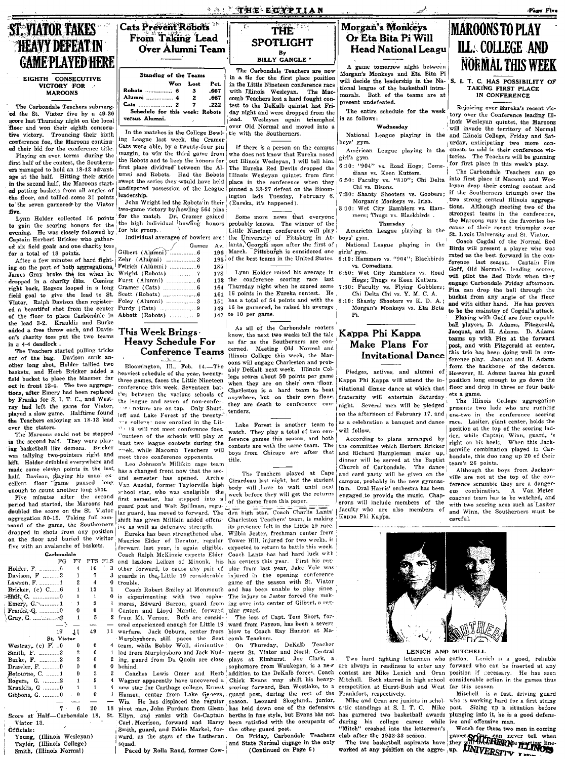#### *SALE THE ECTPILAN*



Over Alumni Team

Pct

667

667

 $.222$ 

Av.

196

Robots

**ST. VIATOR TAKES** 

**HEAVY DEFEAT IN** 

**GAME PLAYED HERE** 

VICTORY FOR

**MAROONS** 

to the seven garnered by the Viator

the lead 3-2. Krauklis and Burke

added a free throw each, and Davis-

on's charity toss put the two teams

The Teachers started pulling tricks

out of the bag. Davison sunk an-

other long shot, Holder tallied two

baskets, and Herb Bricker added a

field bucket to place the Macmen far

out in front 12-4. The two aggrega-

tions, after Emery had been replaced

by Franks for S. I. T. C., and West-

ray had left the game for Viator,

played a slow game. Halftime found

the Teachers enjoying an 18-13 lead

The Marcons could not be stopped

in the second half. They were play-

ing basketball like demons. Bricker

was tallying two-pointers right and

left. Holder dribbled everywhere and

made some eleven points in the last.

half. Davison, playing his usual ex-<br>cellent floor game paused long

Five minutes after the second

period had started, the Maroons had

doubled the score on the St. Viator

aggregation 30-15. Taking full com-

mand of the game, the Southerners

five with an avalanche of baskets.

. . . . . . . . . . 6

 $-1$ 

 $\Omega$ . . . . . . . . . . . . . .

 $\blacksquare$ 

19  $11$ 49  $11$ 

St. Viator

 $\circ$ 

 $\overline{2}$  $\mathcal{P}$ 

 $\mathbf{a}$  $\theta$  $\Omega$ 

 $\overline{2}$ 

 $\theta$ 

. . . . . . . .

Young, (Illinois Wesleyan)

Taylor, (Illinois College)

Smith, (Illinois Normal)

 $\theta$ 

 $\theta$  $\theta$ 

 $\epsilon$ 20

Carbondale

FG FT

 $16$  $\boldsymbol{A}$ 

-7

13

 $\boldsymbol{\hat{3}}$ 

 $\theta$ 

 $\overline{5}$  $\overline{2}$ 

 $\epsilon$ 

 $\boldsymbol{\kappa}$ 

1

enough to count another long shot.

in  $a$  4-4 deadlock.

over the staters.

Holder, F.

Lawson, F.

Hall, C.

Davison,  $F$  ...........3

Bricker, (c) C......6

Gray, G.  $\ldots$  2

Westray, (c)  $\vec{F}$ . ...0

Betourne, C. .......1

Gibbons, G. ..........0

Rogers, G. ........

Smith, F. ..........

Burke, F.

Drassler, F.

Krauklis, G

Viator 13.

Officials:

Emery,  $G$ .

#### **THE SPOTLIGHT**  $B_y$ <br>BILLY GANGLE '

The Carbondale Teachers are now in a tie for the first place position in the Little Nineteen conference race with Illinois Wesleyan. The Maccomb Teachers lost a hard fought contest to the DeKalb quintet last Friday night and were dropped from the lead. Wesleyan again triumphed over Old Normal and moved into a tie with the Southerners.

If there is a person on the campus who does not know that Eureka nosed out Illinois Wesleyan, I will tell him. The Eureka Red Devils dropped the Illinois Wesleyan quintet from first place in the conference when they pinned a 33-27 defeat on the Bloomington lads Tuesday. February 6. (Eureka, it's happened).

Some more news that everyone probably knows. The winner of the .<br>Little Nineteen conference will play the University of Pittsburg in Atlanta, Georgia soon after the first of March. Pittsburgh is considered one 195 of the best teams in the United States.

185 Lynn Holder raised his average in 178 the conference scoring race last<br>Thursday night when he scored some 173 164 16 points in the Eureka contest. He 161 151 has a total of 54 points and with the 8:10: Shanty Shooters vs K. D. A.; 16 he garnered, he raised his average 149 to 10 per game. 147

As all of the Carbondale rooters know, the next two weeks tell the tale as far as the Southerners are con-Meeting Old Normal and cerned. Illinois College this week, the Marcons will engage Charleston and probably DeKalb next week. Illinois College scores about 50 points per game when they are on their own floor. Charleston is a hard team to beat anywhere, but on their own floor, they are death to conference contenders.

watch. They play a total of two conference games this season, and both contests are with the same team. boys from Chicago are after that title

The Teachers played at Cape Girardeau last night, but the student body will have to wait until next week before they will get the returns of the game from this paper.

lar guard, has moved to forward. The den high star, Coach Charlie Lantz' Charleston Teachers' team, is making its presence felt in the Little 19 race. Wilbia Jester, freshman center from Tower Hill, injured for two weeks, is expected to return to battle this week. Coach Lantz has had hard luck with and Isadore Leiken of Minonk, his his centers this year. First his regother forward, to cause any pair of ular from last year, Jake Volc was injured in the opening conference game of the season with St. Viator Coach Robert Smiley at Monmouth and has been unable to play since. experimenting with two sopho- The injury to Jester forced the mak-

The loss of Capt. Tom Short, forward from Payson, has been a severe

On Thursday, DeKalb Teacher meets St. Viator and North Central plays at Elmhurst. Joe Clark, a sophomore from Waukegan, is a new addition to the DeKalb forces. Coach Chick Evans may shift his heavy- Mitchell. Both starred in high school scoring forward, Ben Westlake, to a guard post, during the rest of the Leonard Skoglund., junior, season. has held down one of the defensive a tic standings at S. I. T. C. Mike post. Sizing up a situation before berths in fine style, but Evans has not been satisfied with the occupants of the other guard post.

On Friday, Carbondale Teachers and State Normal engage in the only (Continued on Page 6)

#### Morgan's Monkeys Or Eta Bita Pi Will **Head National Leagu**

A game tomorrow night between Morgan's Monkeys and Eta Bita Pi will decide the leadership in the National league of the basketball intramurals. Both of the teams are at present undefeated.

The entire schedule for the week is as follows:

#### Wednesday

boys' gym.

American League playing in the girl's gym.

6:10: "904" vs. Road Hogs; Comedians vs. Keen Kutters.

6:50: Faculty vs. "810"; Chi Delta Chi vs. Bisons.

7:30: Shanty Shooters vs. Goobers;<br>Morgan's Monkeys vs. Irish.

8:10: Wet City Ramblers vs. Ham-

mers; Thugs vs. Blackbirds Thursday

American League playing in the boys' gym. National League playing in the

girls' gym.

6:10: Hammers vs. "904"; Blackbirds vs. Comedians.

6:50: Wet City Ramblers vs. Road Hogs; Thugs vs Keen Kutters.<br>7:30: Faculty vs. Flying Gobblers;

Chi Delta Chi vs. Y. M. C. A. Morgan's Monkeys vs. Eta Beta

#### Kappa Phi Kappa Make Plans For **Invitational Dance**

Pi.

Pledges, actives, and alumni of Kappa Phi Kappa will attend the invitational dinner dance at which that fraternity will entertain Saturday night. Several men will be pledged on the afternoon of February 17, and one-two in the conference scoring as a celebration a banquet and dance will follow.

According to plans arranged by the committee which Herbert Bricker and Richard Hampleman make up, dinner will be served at the Baptist Church of Carbondale. The dance and card party will be given on the campus, probably in the new gymnasium. Oral Harris' orchestra has been engaged to provide the music. Chaperons will include members of the faculty who are also members of Kappa Phi Kappa.

Frankfort, respectively.

Mike and Oran are juniors in schol-

during his college career while "Mitch" crashed into the lettermen's

club after the 1932-33 season.

## **MAROONS TO PLAY ILL. COLLEGE AND NORMAL THIS WEEK**

Page Five

#### S. I. T. C. HAS POSSIBILITY OF TAKING FIRST PLACE IN CONFERENCE

Rejoicing over Eureka's recent victory over the Conference leading Illinois Wesleyan quintet, the Maroons will invade the territory of Normal National League playing in the and Illinois College, Friday and Saturday, anticipating two more conquests to add to their conference victories. The Teachers will be gunning for first place in this week's play.

The Carbondale Teachers can go into first place if Macomb and Weslevan drop their coming contest and if the Southerners triumph over the two strong central Illinois aggregations. Although meeting two of the strongest teams in the conference, the Maroons may be the favorites because of their recent triumphs over St. Louis University and St. Viator.

Coach Cogdal of the Normal Red Birds will present a player who was rated as the best forward in the confaced as the boost as made in the conwill pilot the Red Birds when they engage Carbondale Friday afternoon. Pim can drop the ball through the bucket from any angle of the floor<br>and with either hand. He has proven<br>to be the mainstay of Cogdal's attack.

Playing with Goff are four capable ball players, D. Adams, Fitzgerald, Jacquat, and H. Adams. D. Adams teams up with Pim at the forward nost. and with Fitzgerald at center, this trio has been doing well in conference play. Jacquat and H. Adams form the backbone of the defence.<br>However, H. Adams leaves his guard position long enough to go down the floor and drop in three or four baskets a game.

The Illinois College aggregation presents two lads who are running race. Lasiter, giant center, holds the position at the top of the scoring ladder, while Captain Winn, guard, 's right on his heels. When this Jacksonville combination played in Carbondale, this duo rang up 20 of their team's 26 points.

Although the boys from Jacksonville are not at the top of the conference scramble they are a dangerous combination. A Van Meter coached team has to be watched, and with two scoring aces such as Lasiter<br>and Winn, the Southerners must be careful.

#### LENICH AND MITCHELL

Two hard fighting lettermen who gation. Lenich is a good, reliable are always in readiness to enter any forward who can be inserted at any contest are Mike Lenich and Oran position if necessary. He has seen considerable action in the games thus competition at Hurst-Bush and West far this season.

Mitchell is a fast, driving guard who is working hard for a first string has garnered two basketball awards plunging into it, he is a good defensive and offensive man.

Watch for these two men in coming club after the 1932-33 season.<br>The two basketball aspirants have they will be the party of the worked at any position on the aggree up. UNIVERSITY From

**Heavy Schedule For Conference Teams** 

heaviest schedule of the year, twentythree games, faces the Little Nineteen conference this week. Seventeen batt'es between the various schools of the league and seven of non-conferin a nature are on tap. Only Shurtleff and Lake Forest of the twenty." "e college now enrolled in the Lit- $\cdot$  19 will not meet conference foes. Tourteen of the schools will play at least two league contests during the will

Leo Johnson's Millikin cage team has a changed front now that the second semester has opened. Archie Van Ausdal, former Taylorville high school star, who was eneligible the first semester, has stepped into a guard post and Walt Spillman, regu-

ive as well as defensive strength. Eureka has been strengthened also. Maurice Elder of Decatur, regular forward last year, is again eligible.<br>Coach Ralph McKinzie expects Elder

trouble.

 $\mathbf{a}$  $is$ from Mt. Vernon. Both are consid-

 $\overline{2}$  $\theta$ hehind.

Coaches Lewis Omer and Herb  $\overline{4}$  $\boldsymbol{4}$  $\mathbf{1}$ 18 pivot man, John Purdum from Glenn Score at Half-Carbondale 18, St. ward, as the stars of the Lutheran

Paced by Rolla Rand, former Cow-

Standing of the Teams EIGHTH CONSECUTIVE Won Lost ...... 6 **Robots**  $\mathbf{A}$ Alumni 4  $\overline{2}$ Cats ... The Carbondale Teachers submerg- $\overline{2}$ Schedule for this week: ed the St. Viator five by a 49-20 versus Alumni. score last Thursday night on the local floor and won their eighth consecu-

In the matches in the College Bowltive victory. Trouncing their sixth ing League last week, the Cramer conference foe, the Maroons continu-Cats were able, by a twenty-four pin ed their bid for the conference title. margin, to win the third game from Playing on even terms, during the the Robots and to keep the honors for first half of the contest, the Southernfirst place dividved between the Alers managed to hold an 18-13 advantumni and Robots. Had the Robots age at the half. Hitting their stride swent the series they would have held in the second half, the Maroons startundisputed possession of the League ed potting baskets from all angles of leadership. the floor, and tallied some 31 points

John Wright led the Robots'in their we are seven garacter by the viator two-game victory by howling 564 pins<br>
from Holder collected 16 points for the match. Dri Cramer gained<br>
to gain the searing honors for the high individual bowfing honors<br>
to gain the se evening. He was closely followed by for his group.

Individual averages of bowlers are:

| Captain Herbert Bricker who gather-                    | Individual averages of bowlers |
|--------------------------------------------------------|--------------------------------|
|                                                        | Games                          |
|                                                        |                                |
| After a few minutes of hard fight- Zehr (Alumni) 3     |                                |
|                                                        |                                |
| James Gray broke the ice when he Wright (Robots) 7     |                                |
|                                                        |                                |
|                                                        |                                |
|                                                        |                                |
| Viator. Ralph Davison then register- Foley (Alumni)  3 |                                |
|                                                        |                                |
| of the floor to place Carbondale in Abbott (Robots)  9 |                                |
|                                                        |                                |

## This Week Brings.

Bloomington, Ill., Feb. 14.-The

nek, while Macomb Teachers meet three conference opponents.

shift has given Millikin added offens-

dropped in shots from any position on the floor and buried the visitor PTS FLS  $\mathbf{a}$  $\mathbf{a}$ guards in the Little 19 considerable  $\theta$ 

mores, Edward Barron, guard from ing over into center of Gilbert, a reg-Canton and Lloyd Mantle, forward ular guard. ered experienced enough for Little 19 warfare. Jack Ozburn, center from blow to Coach Ray Hanson at Ma-Murphysboro, still paces the Scot<sup>1</sup>comb Teachers.<br>team, while Bobby Woll, diminutive ' On Thursda

lad from Murphysboro and Jack Nuding, guard from Du Quoin are close

Wagner apparently have uncovered a new star for Carthage college, Ernest Hansen, center from Lake Geneva, Wis. He has displaced the regular Ellyn, and ranks with Co-Captain Carl Morrison, forward and Harry Smith, guard, and Eddie Markel, for-

squad.

# Lake Forest is another team to